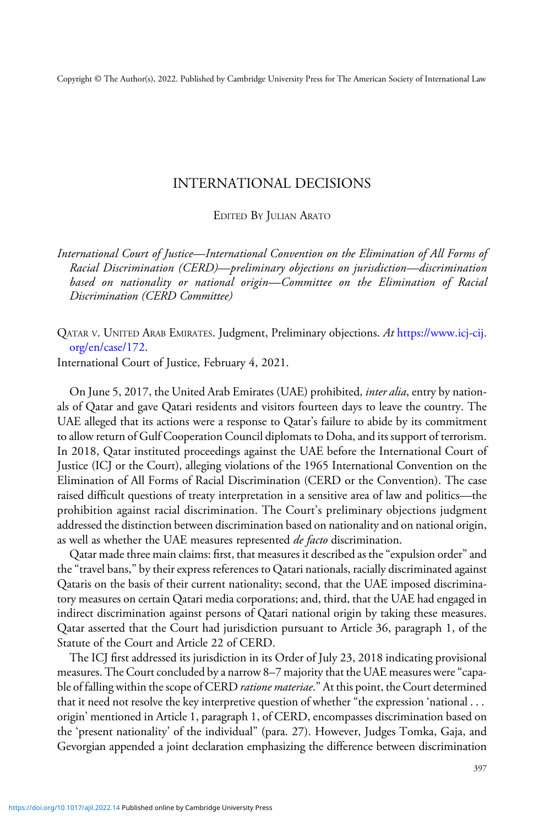Copyright © The Author(s), 2022. Published by Cambridge University Press for The American Society of International Law

## INTERNATIONAL DECISIONS

## EDITED BY JULIAN ARATO

International Court of Justice—International Convention on the Elimination of All Forms of Racial Discrimination (CERD)—preliminary objections on jurisdiction—discrimination based on nationality or national origin—Committee on the Elimination of Racial Discrimination (CERD Committee)

QATAR V. UNITED ARAB EMIRATES. Judgment, Preliminary objections. At [https://www.icj-cij.](https://www.icj-cij.org/en/case/172) [org/en/case/172](https://www.icj-cij.org/en/case/172).

International Court of Justice, February 4, 2021.

On June 5, 2017, the United Arab Emirates (UAE) prohibited, *inter alia*, entry by nationals of Qatar and gave Qatari residents and visitors fourteen days to leave the country. The UAE alleged that its actions were a response to Qatar's failure to abide by its commitment to allow return of Gulf Cooperation Council diplomats to Doha, and its support of terrorism. In 2018, Qatar instituted proceedings against the UAE before the International Court of Justice (ICJ or the Court), alleging violations of the 1965 International Convention on the Elimination of All Forms of Racial Discrimination (CERD or the Convention). The case raised difficult questions of treaty interpretation in a sensitive area of law and politics—the prohibition against racial discrimination. The Court's preliminary objections judgment addressed the distinction between discrimination based on nationality and on national origin, as well as whether the UAE measures represented *de facto* discrimination.

Qatar made three main claims: first, that measures it described as the"expulsion order"and the"travel bans," by their express references to Qatari nationals, racially discriminated against Qataris on the basis of their current nationality; second, that the UAE imposed discriminatory measures on certain Qatari media corporations; and, third, that the UAE had engaged in indirect discrimination against persons of Qatari national origin by taking these measures. Qatar asserted that the Court had jurisdiction pursuant to Article 36, paragraph 1, of the Statute of the Court and Article 22 of CERD.

The ICJ first addressed its jurisdiction in its Order of July 23, 2018 indicating provisional measures. The Court concluded by a narrow 8–7 majority that the UAE measures were"capable of falling within the scope of CERD *ratione materiae*." At this point, the Court determined that it need not resolve the key interpretive question of whether "the expression 'national . . . origin' mentioned in Article 1, paragraph 1, of CERD, encompasses discrimination based on the 'present nationality' of the individual" (para. 27). However, Judges Tomka, Gaja, and Gevorgian appended a joint declaration emphasizing the difference between discrimination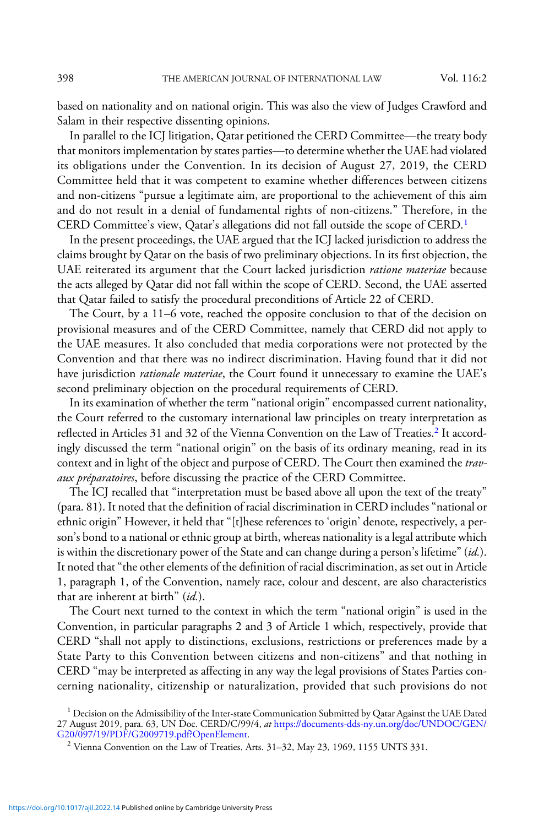based on nationality and on national origin. This was also the view of Judges Crawford and Salam in their respective dissenting opinions.

In parallel to the ICJ litigation, Qatar petitioned the CERD Committee—the treaty body that monitors implementation by states parties—to determine whether the UAE had violated its obligations under the Convention. In its decision of August 27, 2019, the CERD Committee held that it was competent to examine whether differences between citizens and non-citizens "pursue a legitimate aim, are proportional to the achievement of this aim and do not result in a denial of fundamental rights of non-citizens." Therefore, in the CERD Committee's view, Qatar's allegations did not fall outside the scope of CERD.<sup>1</sup>

In the present proceedings, the UAE argued that the ICJ lacked jurisdiction to address the claims brought by Qatar on the basis of two preliminary objections. In its first objection, the UAE reiterated its argument that the Court lacked jurisdiction ratione materiae because the acts alleged by Qatar did not fall within the scope of CERD. Second, the UAE asserted that Qatar failed to satisfy the procedural preconditions of Article 22 of CERD.

The Court, by a 11–6 vote, reached the opposite conclusion to that of the decision on provisional measures and of the CERD Committee, namely that CERD did not apply to the UAE measures. It also concluded that media corporations were not protected by the Convention and that there was no indirect discrimination. Having found that it did not have jurisdiction *rationale materiae*, the Court found it unnecessary to examine the UAE's second preliminary objection on the procedural requirements of CERD.

In its examination of whether the term "national origin" encompassed current nationality, the Court referred to the customary international law principles on treaty interpretation as reflected in Articles 31 and 32 of the Vienna Convention on the Law of Treaties.<sup>2</sup> It accordingly discussed the term "national origin" on the basis of its ordinary meaning, read in its context and in light of the object and purpose of CERD. The Court then examined the travaux préparatoires, before discussing the practice of the CERD Committee.

The ICJ recalled that "interpretation must be based above all upon the text of the treaty" (para. 81). It noted that the definition of racial discrimination in CERD includes "national or ethnic origin" However, it held that "[t]hese references to 'origin' denote, respectively, a person's bond to a national or ethnic group at birth, whereas nationality is a legal attribute which is within the discretionary power of the State and can change during a person's lifetime" (id.). It noted that"the other elements of the definition of racial discrimination, as set out in Article 1, paragraph 1, of the Convention, namely race, colour and descent, are also characteristics that are inherent at birth" *(id.)*.

The Court next turned to the context in which the term "national origin" is used in the Convention, in particular paragraphs 2 and 3 of Article 1 which, respectively, provide that CERD "shall not apply to distinctions, exclusions, restrictions or preferences made by a State Party to this Convention between citizens and non-citizens" and that nothing in CERD "may be interpreted as affecting in any way the legal provisions of States Parties concerning nationality, citizenship or naturalization, provided that such provisions do not

 $^{\rm 1}$  Decision on the Admissibility of the Inter-state Communication Submitted by Qatar Against the UAE Dated 27 August 2019, para. 63, UN Doc. CERD/C/99/4, at [https://documents-dds-ny.un.org/doc/UNDOC/GEN/](https://documents-dds-ny.un.org/doc/UNDOC/GEN/G20/097/19/PDF/G2009719.pdf?OpenElement)  $G20/097/19/PDF/G2009719.pdf$ ? OpenElement.<br><sup>2</sup> Vienna Convention on the Law of Treaties, Arts. 31–32, May 23, 1969, 1155 UNTS 331.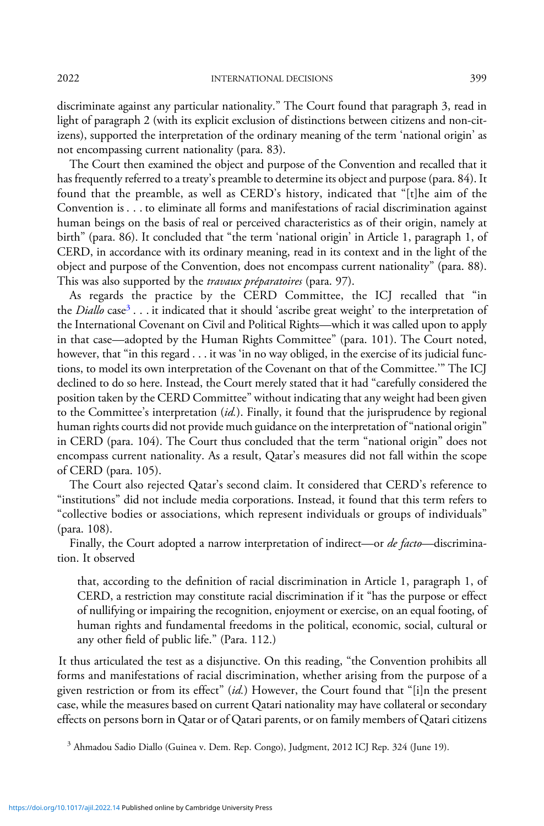discriminate against any particular nationality." The Court found that paragraph 3, read in light of paragraph 2 (with its explicit exclusion of distinctions between citizens and non-citizens), supported the interpretation of the ordinary meaning of the term 'national origin' as not encompassing current nationality (para. 83).

The Court then examined the object and purpose of the Convention and recalled that it has frequently referred to a treaty's preamble to determine its object and purpose (para. 84). It found that the preamble, as well as CERD's history, indicated that "[t]he aim of the Convention is . . . to eliminate all forms and manifestations of racial discrimination against human beings on the basis of real or perceived characteristics as of their origin, namely at birth" (para. 86). It concluded that "the term 'national origin' in Article 1, paragraph 1, of CERD, in accordance with its ordinary meaning, read in its context and in the light of the object and purpose of the Convention, does not encompass current nationality" (para. 88). This was also supported by the *travaux préparatoires* (para. 97).

As regards the practice by the CERD Committee, the ICJ recalled that "in the *Diallo* case<sup>3</sup>... it indicated that it should 'ascribe great weight' to the interpretation of the International Covenant on Civil and Political Rights—which it was called upon to apply in that case—adopted by the Human Rights Committee" (para. 101). The Court noted, however, that "in this regard . . . it was 'in no way obliged, in the exercise of its judicial functions, to model its own interpretation of the Covenant on that of the Committee.'" The ICJ declined to do so here. Instead, the Court merely stated that it had "carefully considered the position taken by the CERD Committee" without indicating that any weight had been given to the Committee's interpretation (id.). Finally, it found that the jurisprudence by regional human rights courts did not provide much guidance on the interpretation of "national origin" in CERD (para. 104). The Court thus concluded that the term "national origin" does not encompass current nationality. As a result, Qatar's measures did not fall within the scope of CERD (para. 105).

The Court also rejected Qatar's second claim. It considered that CERD's reference to "institutions" did not include media corporations. Instead, it found that this term refers to "collective bodies or associations, which represent individuals or groups of individuals" (para. 108).

Finally, the Court adopted a narrow interpretation of indirect—or *de facto*—discrimination. It observed

that, according to the definition of racial discrimination in Article 1, paragraph 1, of CERD, a restriction may constitute racial discrimination if it "has the purpose or effect of nullifying or impairing the recognition, enjoyment or exercise, on an equal footing, of human rights and fundamental freedoms in the political, economic, social, cultural or any other field of public life." (Para. 112.)

It thus articulated the test as a disjunctive. On this reading, "the Convention prohibits all forms and manifestations of racial discrimination, whether arising from the purpose of a given restriction or from its effect" (id.) However, the Court found that "[i]n the present case, while the measures based on current Qatari nationality may have collateral or secondary effects on persons born in Qatar or of Qatari parents, or on family members of Qatari citizens

<sup>3</sup> Ahmadou Sadio Diallo (Guinea v. Dem. Rep. Congo), Judgment, 2012 ICJ Rep. 324 (June 19).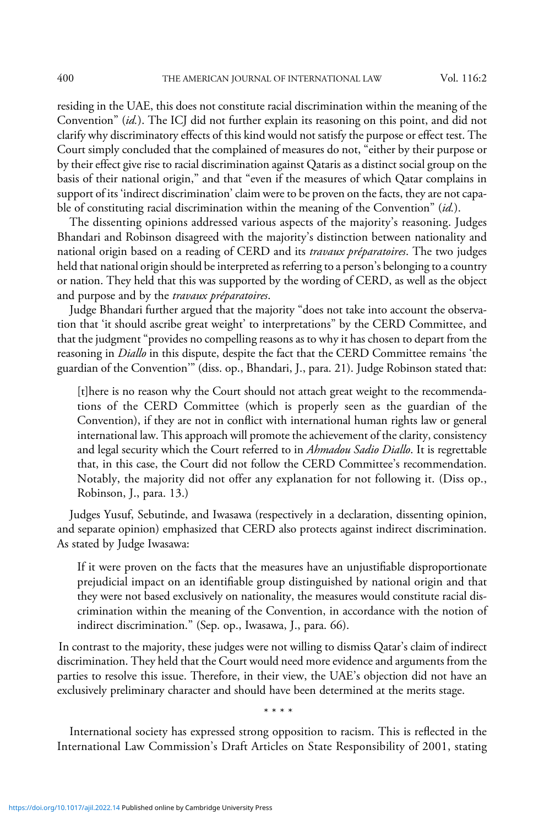residing in the UAE, this does not constitute racial discrimination within the meaning of the Convention" (id.). The ICJ did not further explain its reasoning on this point, and did not clarify why discriminatory effects of this kind would not satisfy the purpose or effect test. The Court simply concluded that the complained of measures do not, "either by their purpose or by their effect give rise to racial discrimination against Qataris as a distinct social group on the basis of their national origin," and that "even if the measures of which Qatar complains in support of its 'indirect discrimination'claim were to be proven on the facts, they are not capable of constituting racial discrimination within the meaning of the Convention" (id.).

The dissenting opinions addressed various aspects of the majority's reasoning. Judges Bhandari and Robinson disagreed with the majority's distinction between nationality and national origin based on a reading of CERD and its *travaux préparatoires*. The two judges held that national origin should be interpreted as referring to a person's belonging to a country or nation. They held that this was supported by the wording of CERD, as well as the object and purpose and by the travaux préparatoires.

Judge Bhandari further argued that the majority "does not take into account the observation that 'it should ascribe great weight' to interpretations" by the CERD Committee, and that the judgment"provides no compelling reasons as to why it has chosen to depart from the reasoning in *Diallo* in this dispute, despite the fact that the CERD Committee remains 'the guardian of the Convention'" (diss. op., Bhandari, J., para. 21). Judge Robinson stated that:

[t]here is no reason why the Court should not attach great weight to the recommendations of the CERD Committee (which is properly seen as the guardian of the Convention), if they are not in conflict with international human rights law or general international law. This approach will promote the achievement of the clarity, consistency and legal security which the Court referred to in Ahmadou Sadio Diallo. It is regrettable that, in this case, the Court did not follow the CERD Committee's recommendation. Notably, the majority did not offer any explanation for not following it. (Diss op., Robinson, J., para. 13.)

Judges Yusuf, Sebutinde, and Iwasawa (respectively in a declaration, dissenting opinion, and separate opinion) emphasized that CERD also protects against indirect discrimination. As stated by Judge Iwasawa:

If it were proven on the facts that the measures have an unjustifiable disproportionate prejudicial impact on an identifiable group distinguished by national origin and that they were not based exclusively on nationality, the measures would constitute racial discrimination within the meaning of the Convention, in accordance with the notion of indirect discrimination." (Sep. op., Iwasawa, J., para. 66).

In contrast to the majority, these judges were not willing to dismiss Qatar's claim of indirect discrimination. They held that the Court would need more evidence and arguments from the parties to resolve this issue. Therefore, in their view, the UAE's objection did not have an exclusively preliminary character and should have been determined at the merits stage.

\*\*\*\*

International society has expressed strong opposition to racism. This is reflected in the International Law Commission's Draft Articles on State Responsibility of 2001, stating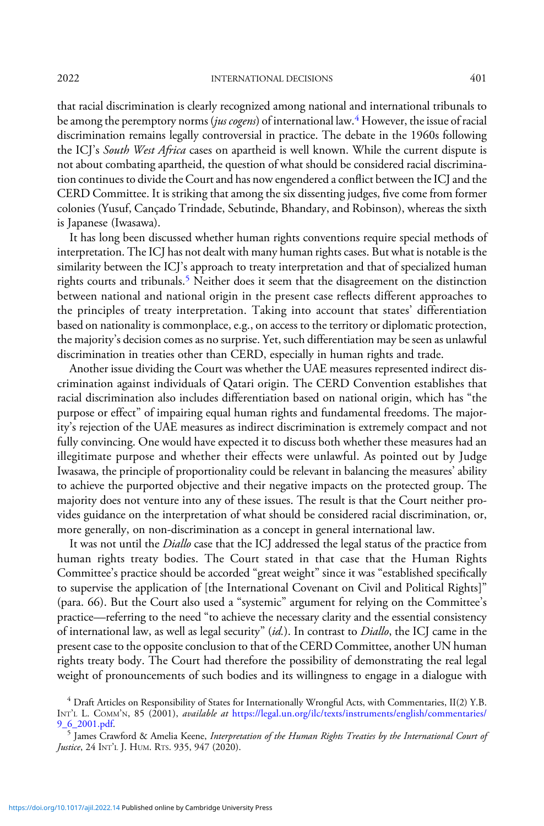that racial discrimination is clearly recognized among national and international tribunals to be among the peremptory norms (jus cogens) of international law.<sup>4</sup> However, the issue of racial discrimination remains legally controversial in practice. The debate in the 1960s following the ICJ's South West Africa cases on apartheid is well known. While the current dispute is not about combating apartheid, the question of what should be considered racial discrimination continues to divide the Court and has now engendered a conflict between the ICJ and the CERD Committee. It is striking that among the six dissenting judges, five come from former

colonies (Yusuf, Cançado Trindade, Sebutinde, Bhandary, and Robinson), whereas the sixth

is Japanese (Iwasawa). It has long been discussed whether human rights conventions require special methods of interpretation. The ICJ has not dealt with many human rights cases. But what is notable is the similarity between the ICJ's approach to treaty interpretation and that of specialized human rights courts and tribunals.<sup>5</sup> Neither does it seem that the disagreement on the distinction between national and national origin in the present case reflects different approaches to the principles of treaty interpretation. Taking into account that states' differentiation based on nationality is commonplace, e.g., on access to the territory or diplomatic protection, the majority's decision comes as no surprise. Yet, such differentiation may be seen as unlawful discrimination in treaties other than CERD, especially in human rights and trade.

Another issue dividing the Court was whether the UAE measures represented indirect discrimination against individuals of Qatari origin. The CERD Convention establishes that racial discrimination also includes differentiation based on national origin, which has "the purpose or effect" of impairing equal human rights and fundamental freedoms. The majority's rejection of the UAE measures as indirect discrimination is extremely compact and not fully convincing. One would have expected it to discuss both whether these measures had an illegitimate purpose and whether their effects were unlawful. As pointed out by Judge Iwasawa, the principle of proportionality could be relevant in balancing the measures' ability to achieve the purported objective and their negative impacts on the protected group. The majority does not venture into any of these issues. The result is that the Court neither provides guidance on the interpretation of what should be considered racial discrimination, or, more generally, on non-discrimination as a concept in general international law.

It was not until the *Diallo* case that the ICJ addressed the legal status of the practice from human rights treaty bodies. The Court stated in that case that the Human Rights Committee's practice should be accorded "great weight" since it was "established specifically to supervise the application of [the International Covenant on Civil and Political Rights]" (para. 66). But the Court also used a "systemic" argument for relying on the Committee's practice—referring to the need "to achieve the necessary clarity and the essential consistency of international law, as well as legal security" (id.). In contrast to Diallo, the ICJ came in the present case to the opposite conclusion to that of the CERD Committee, another UN human rights treaty body. The Court had therefore the possibility of demonstrating the real legal weight of pronouncements of such bodies and its willingness to engage in a dialogue with

<sup>4</sup> Draft Articles on Responsibility of States for Internationally Wrongful Acts, with Commentaries, II(2) Y.B. INT'L L. COMM'N, 85 (2001), *available at [https://legal.un.org/ilc/texts/instruments/english/commentaries/](https://legal.un.org/ilc/texts/instruments/english/commentaries/9_6_2001.pdf)*<br>9 6 2001.pdf.

 $^5$  James Crawford & Amelia Keene, Interpretation of the Human Rights Treaties by the International Court of Justice, 24 INT't. J. HUM. RTS. 935, 947 (2020).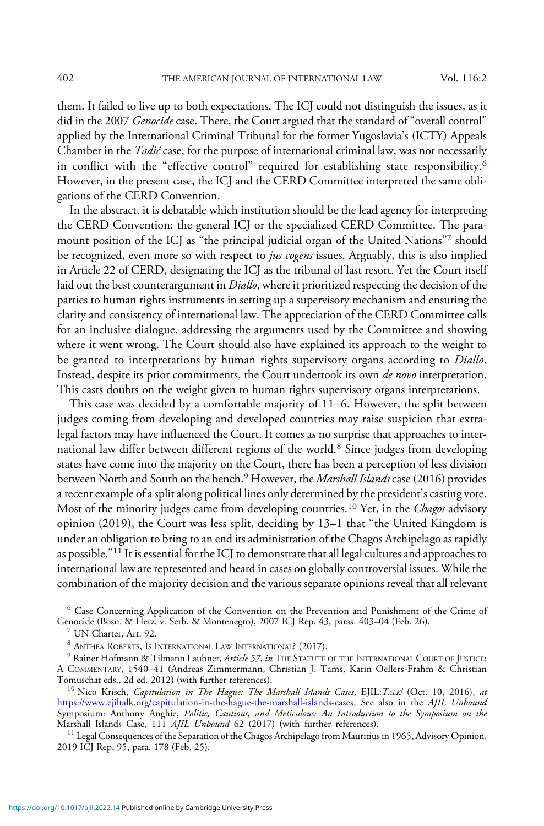them. It failed to live up to both expectations. The ICJ could not distinguish the issues, as it did in the 2007 Genocide case. There, the Court argued that the standard of "overall control" applied by the International Criminal Tribunal for the former Yugoslavia's (ICTY) Appeals Chamber in the *Tadić* case, for the purpose of international criminal law, was not necessarily in conflict with the "effective control" required for establishing state responsibility.<sup>6</sup> However, in the present case, the ICJ and the CERD Committee interpreted the same obligations of the CERD Convention.

In the abstract, it is debatable which institution should be the lead agency for interpreting the CERD Convention: the general ICJ or the specialized CERD Committee. The paramount position of the ICJ as "the principal judicial organ of the United Nations"<sup>7</sup> should be recognized, even more so with respect to *jus cogens* issues. Arguably, this is also implied in Article 22 of CERD, designating the ICJ as the tribunal of last resort. Yet the Court itself laid out the best counterargument in *Diallo*, where it prioritized respecting the decision of the parties to human rights instruments in setting up a supervisory mechanism and ensuring the clarity and consistency of international law. The appreciation of the CERD Committee calls for an inclusive dialogue, addressing the arguments used by the Committee and showing where it went wrong. The Court should also have explained its approach to the weight to be granted to interpretations by human rights supervisory organs according to *Diallo*. Instead, despite its prior commitments, the Court undertook its own de novo interpretation. This casts doubts on the weight given to human rights supervisory organs interpretations.

This case was decided by a comfortable majority of 11–6. However, the split between judges coming from developing and developed countries may raise suspicion that extralegal factors may have influenced the Court. It comes as no surprise that approaches to international law differ between different regions of the world.<sup>8</sup> Since judges from developing states have come into the majority on the Court, there has been a perception of less division between North and South on the bench.<sup>9</sup> However, the *Marshall Islands* case (2016) provides a recent example of a split along political lines only determined by the president's casting vote. Most of the minority judges came from developing countries.<sup>10</sup> Yet, in the *Chagos* advisory opinion (2019), the Court was less split, deciding by 13–1 that "the United Kingdom is under an obligation to bring to an end its administration of the Chagos Archipelago as rapidly as possible."<sup>11</sup> It is essential for the ICJ to demonstrate that all legal cultures and approaches to international law are represented and heard in cases on globally controversial issues. While the combination of the majority decision and the various separate opinions reveal that all relevant

<sup>6</sup> Case Concerning Application of the Convention on the Prevention and Punishment of the Crime of Genocide (Bosn. & Herz. v. Serb. & Montenegro), 2007 ICJ Rep. 43, paras. 403–04 (Feb. 26). <sup>7</sup> UN Charter, Art. 92.

<sup>8</sup> Anthea Roberts, Is International Law International? (2017).<br><sup>9</sup> Rainer Hofmann & Tilmann Laubner, *Article 57, in* The Statute of the International Court of Justice: A COMMENTARY, 1540–41 (Andreas Zimmermann, Christian J. Tams, Karin Oellers-Frahm & Christian

 $10$  Nico Krisch, Capitulation in The Hague: The Marshall Islands Cases, EJIL:TALK! (Oct. 10, 2016), at [https://www.ejiltalk.org/capitulation-in-the-hague-the-marshall-islands-cases.](https://www.ejiltalk.org/capitulation-in-the-hague-the-marshall-islands-cases) See also in the AJIL Unbound Symposium: Anthony Anghie, Politic, Cautious, and Meticulous: An Introduction to the Symposium on the Marshall Islands Case, 111 AJIL Unbound 62 (2017) (with further references).

 $^{11}$  Legal Consequences of the Separation of the Chagos Archipelago from Mauritius in 1965, Advisory Opinion, 2019 ICJ Rep. 95, para. 178 (Feb. 25).